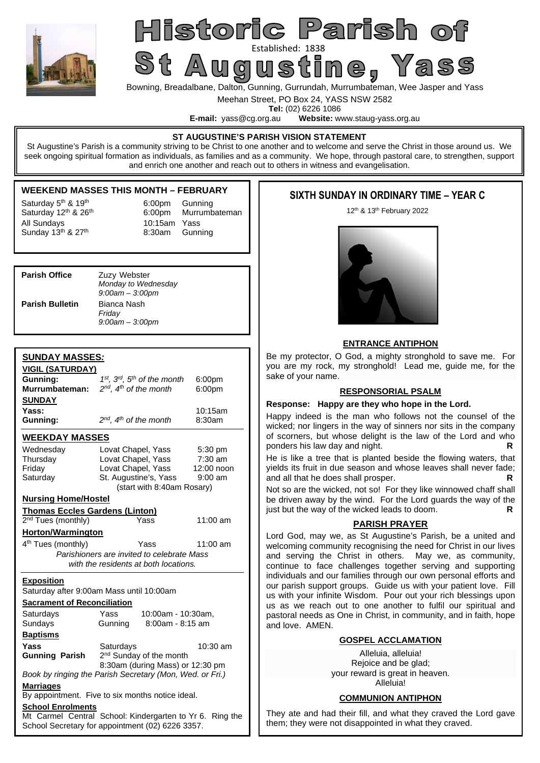

## Historic Parish of St Augustined: 1838<br>St Augustine, Yass

Bowning, Breadalbane, Dalton, Gunning, Gurrundah, Murrumbateman, Wee Jasper and Yass

Meehan Street, PO Box 24, YASS NSW 2582

**Tel:** (02) 6226 1086<br>**E-mail:** vass@cg.org.au **Website:** w Website: www.staug-yass.org.au

## **ST AUGUSTINE'S PARISH VISION STATEMENT**

St Augustine's Parish is a community striving to be Christ to one another and to welcome and serve the Christ in those around us. We seek ongoing spiritual formation as individuals, as families and as a community. We hope, through pastoral care, to strengthen, support and enrich one another and reach out to others in witness and evangelisation.

## **WEEKEND MASSES THIS MONTH – FEBRUARY**

Saturday  $5<sup>th</sup>$  & 19<sup>th</sup> 6:00pm Gunning All Sundays  $\frac{10:15$ am Yass  $\frac{10:15}{2}$  8:30am Gunn

Saturday 12<sup>th</sup> & 26<sup>th</sup> 6:00pm Murrumbateman 8:30am Gunning

| <b>Parish Office</b>   | Zuzy Webster<br>Monday to Wednesday<br>$9:00$ am $-3:00$ pm |
|------------------------|-------------------------------------------------------------|
| <b>Parish Bulletin</b> | Bianca Nash<br>Friday<br>$9:00$ am $-3:00$ pm               |

## **SUNDAY MASSES***:*

| <b>VIGIL (SATURDAY)</b>               |                                                          |            |  |  |  |  |
|---------------------------------------|----------------------------------------------------------|------------|--|--|--|--|
| Gunning:                              | $1st$ , $3rd$ , $5th$ of the month<br>6:00pm             |            |  |  |  |  |
| Murrumbateman:                        | $2^{nd}$ , $4^{th}$ of the month                         | 6:00pm     |  |  |  |  |
| <b>SUNDAY</b>                         |                                                          |            |  |  |  |  |
| Yass:                                 |                                                          | 10:15am    |  |  |  |  |
| Gunning:                              | $2^{nd}$ , $4^{th}$ of the month                         | 8:30am     |  |  |  |  |
| <b>WEEKDAY MASSES</b>                 |                                                          |            |  |  |  |  |
| Wednesday                             | Lovat Chapel, Yass                                       | 5:30 pm    |  |  |  |  |
| Thursday                              | Lovat Chapel, Yass<br>7:30 am                            |            |  |  |  |  |
| Friday                                | Lovat Chapel, Yass<br>12:00 noon                         |            |  |  |  |  |
| Saturday                              | St. Augustine's, Yass                                    | $9:00$ am  |  |  |  |  |
|                                       | (start with 8:40am Rosary)                               |            |  |  |  |  |
| <b>Nursing Home/Hostel</b>            |                                                          |            |  |  |  |  |
| <b>Thomas Eccles Gardens (Linton)</b> |                                                          |            |  |  |  |  |
| $2nd$ Tues (monthly)                  | Yass                                                     | 11:00 am   |  |  |  |  |
| <b>Horton/Warmington</b>              |                                                          |            |  |  |  |  |
| 4 <sup>th</sup> Tues (monthly)        | Yass                                                     | $11:00$ am |  |  |  |  |
|                                       | Parishioners are invited to celebrate Mass               |            |  |  |  |  |
|                                       | with the residents at both locations.                    |            |  |  |  |  |
| <b>Exposition</b>                     |                                                          |            |  |  |  |  |
|                                       | Saturday after 9:00am Mass until 10:00am                 |            |  |  |  |  |
| <b>Sacrament of Reconciliation</b>    |                                                          |            |  |  |  |  |
| Saturdays                             | Yass<br>10:00am - 10:30am,                               |            |  |  |  |  |
| Sundays                               | 8:00am - 8:15 am<br>Gunning                              |            |  |  |  |  |
|                                       |                                                          |            |  |  |  |  |
| <b>Baptisms</b>                       |                                                          |            |  |  |  |  |
| Yass                                  | Saturdays                                                | $10:30$ am |  |  |  |  |
| <b>Gunning Parish</b>                 | 2 <sup>nd</sup> Sunday of the month                      |            |  |  |  |  |
|                                       | 8:30am (during Mass) or 12:30 pm                         |            |  |  |  |  |
|                                       | Book by ringing the Parish Secretary (Mon, Wed. or Fri.) |            |  |  |  |  |
| <b>Marriages</b>                      | By appointment. Five to six months notice ideal.         |            |  |  |  |  |
| <b>School Enrolments</b>              |                                                          |            |  |  |  |  |
|                                       | Mt Carmel Central School: Kindergarten to Yr 6. Ring the |            |  |  |  |  |

## **SIXTH SUNDAY IN ORDINARY TIME – YEAR C**

12th & 13th February 2022



## **ENTRANCE ANTIPHON**

Be my protector, O God, a mighty stronghold to save me. For you are my rock, my stronghold! Lead me, guide me, for the sake of your name.

## **RESPONSORIAL PSALM**

## **Response: Happy are they who hope in the Lord.**

Happy indeed is the man who follows not the counsel of the wicked; nor lingers in the way of sinners nor sits in the company of scorners, but whose delight is the law of the Lord and who ponders his law day and night. **R** 

He is like a tree that is planted beside the flowing waters, that yields its fruit in due season and whose leaves shall never fade; and all that he does shall prosper.

Not so are the wicked, not so! For they like winnowed chaff shall be driven away by the wind. For the Lord guards the way of the line that the way of the wicked leads to doom. just but the way of the wicked leads to doom.

## **PARISH PRAYER**

Lord God, may we, as St Augustine's Parish, be a united and welcoming community recognising the need for Christ in our lives and serving the Christ in others. May we, as community, continue to face challenges together serving and supporting individuals and our families through our own personal efforts and our parish support groups. Guide us with your patient love. Fill us with your infinite Wisdom. Pour out your rich blessings upon us as we reach out to one another to fulfil our spiritual and pastoral needs as One in Christ, in community, and in faith, hope and love. AMEN.

## **GOSPEL ACCLAMATION**

Alleluia, alleluia! Rejoice and be glad; your reward is great in heaven. Alleluia!

## **COMMUNION ANTIPHON**

They ate and had their fill, and what they craved the Lord gave them; they were not disappointed in what they craved.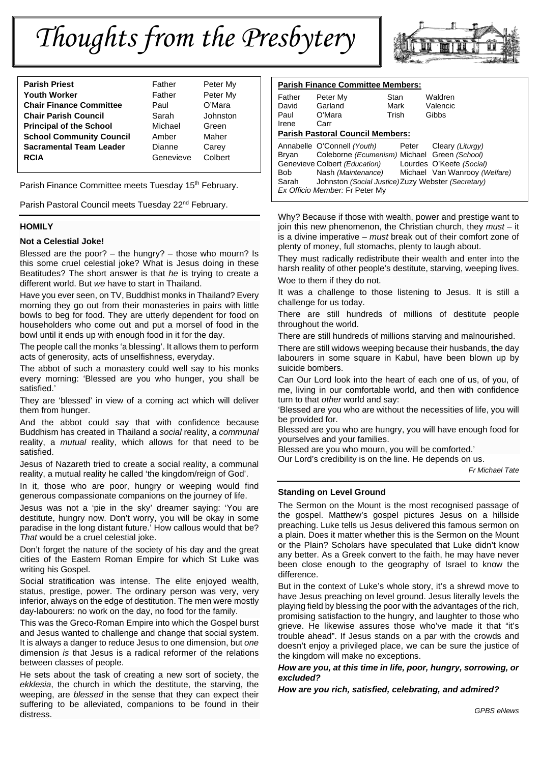# *Thoughts from the Presbytery*

| <b>Parish Priest</b>            | Father    | Peter My |  |
|---------------------------------|-----------|----------|--|
| <b>Youth Worker</b>             | Father    | Peter My |  |
| <b>Chair Finance Committee</b>  | Paul      | O'Mara   |  |
| <b>Chair Parish Council</b>     | Sarah     | Johnston |  |
| <b>Principal of the School</b>  | Michael   | Green    |  |
| <b>School Community Council</b> | Amber     | Maher    |  |
| <b>Sacramental Team Leader</b>  | Dianne    | Carey    |  |
| <b>RCIA</b>                     | Genevieve | Colbert  |  |
|                                 |           |          |  |

Parish Finance Committee meets Tuesday 15<sup>th</sup> February.

Parish Pastoral Council meets Tuesday 22<sup>nd</sup> February.

## **HOMILY**

## **Not a Celestial Joke!**

Blessed are the poor?  $-$  the hungry?  $-$  those who mourn? Is this some cruel celestial joke? What is Jesus doing in these Beatitudes? The short answer is that *he* is trying to create a different world. But *we* have to start in Thailand.

Have you ever seen, on TV, Buddhist monks in Thailand? Every morning they go out from their monasteries in pairs with little bowls to beg for food. They are utterly dependent for food on householders who come out and put a morsel of food in the bowl until it ends up with enough food in it for the day.

The people call the monks 'a blessing'. It allows them to perform acts of generosity, acts of unselfishness, everyday.

The abbot of such a monastery could well say to his monks every morning: 'Blessed are you who hunger, you shall be satisfied.'

They are 'blessed' in view of a coming act which will deliver them from hunger.

And the abbot could say that with confidence because Buddhism has created in Thailand a *social* reality, a *communal* reality, a *mutual* reality, which allows for that need to be satisfied.

Jesus of Nazareth tried to create a social reality, a communal reality, a mutual reality he called 'the kingdom/reign of God'.

In it, those who are poor, hungry or weeping would find generous compassionate companions on the journey of life.

Jesus was not a 'pie in the sky' dreamer saying: 'You are destitute, hungry now. Don't worry, you will be okay in some paradise in the long distant future.' How callous would that be? *That* would be a cruel celestial joke.

Don't forget the nature of the society of his day and the great cities of the Eastern Roman Empire for which St Luke was writing his Gospel.

Social stratification was intense. The elite enjoyed wealth, status, prestige, power. The ordinary person was very, very inferior, always on the edge of destitution. The men were mostly day-labourers: no work on the day, no food for the family.

This was the Greco-Roman Empire into which the Gospel burst and Jesus wanted to challenge and change that social system. It is always a danger to reduce Jesus to one dimension, but *one* dimension *is* that Jesus is a radical reformer of the relations between classes of people.

He sets about the task of creating a new sort of society, the *ekklesia*, the church in which the destitute, the starving, the weeping, are *blessed* in the sense that they can expect their suffering to be alleviated, companions to be found in their distress.



| <b>Parish Finance Committee Members:</b>                 |                                                                                                                                                                                                                            |                       |                                                                               |  |  |  |  |
|----------------------------------------------------------|----------------------------------------------------------------------------------------------------------------------------------------------------------------------------------------------------------------------------|-----------------------|-------------------------------------------------------------------------------|--|--|--|--|
| Father<br>David<br>Paul                                  | Peter My<br>Garland<br>O'Mara                                                                                                                                                                                              | Stan<br>Mark<br>Trish | Waldren<br>Valencic<br>Gibbs                                                  |  |  |  |  |
| Irene<br>Carr<br><b>Parish Pastoral Council Members:</b> |                                                                                                                                                                                                                            |                       |                                                                               |  |  |  |  |
| Brvan<br>Bob<br>Sarah                                    | Annabelle O'Connell (Youth)<br>Coleborne (Ecumenism) Michael Green (School)<br>Genevieve Colbert (Education)<br>Nash (Maintenance)<br>Johnston (Social Justice) Zuzy Webster (Secretary)<br>Ex Officio Member: Fr Peter My | Peter                 | Cleary (Liturgy)<br>Lourdes O'Keefe (Social)<br>Michael Van Wanrooy (Welfare) |  |  |  |  |

Why? Because if those with wealth, power and prestige want to join this new phenomenon, the Christian church, they *must* – it is a divine imperative – *must* break out of their comfort zone of plenty of money, full stomachs, plenty to laugh about.

They must radically redistribute their wealth and enter into the harsh reality of other people's destitute, starving, weeping lives. Woe to them if they do not.

It was a challenge to those listening to Jesus. It is still a challenge for us today.

There are still hundreds of millions of destitute people throughout the world.

There are still hundreds of millions starving and malnourished.

There are still widows weeping because their husbands, the day labourers in some square in Kabul, have been blown up by suicide bombers.

Can Our Lord look into the heart of each one of us, of you, of me, living in our comfortable world, and then with confidence turn to that *other* world and say:

'Blessed are you who are without the necessities of life, you will be provided for.

Blessed are you who are hungry, you will have enough food for yourselves and your families.

Blessed are you who mourn, you will be comforted.'

Our Lord's credibility is on the line. He depends on us.

*Fr Michael Tate* 

## **Standing on Level Ground**

The Sermon on the Mount is the most recognised passage of the gospel. Matthew's gospel pictures Jesus on a hillside preaching. Luke tells us Jesus delivered this famous sermon on a plain. Does it matter whether this is the Sermon on the Mount or the Plain? Scholars have speculated that Luke didn't know any better. As a Greek convert to the faith, he may have never been close enough to the geography of Israel to know the difference.

But in the context of Luke's whole story, it's a shrewd move to have Jesus preaching on level ground. Jesus literally levels the playing field by blessing the poor with the advantages of the rich, promising satisfaction to the hungry, and laughter to those who grieve. He likewise assures those who've made it that "it's trouble ahead". If Jesus stands on a par with the crowds and doesn't enjoy a privileged place, we can be sure the justice of the kingdom will make no exceptions.

*How are you, at this time in life, poor, hungry, sorrowing, or excluded?* 

*How are you rich, satisfied, celebrating, and admired?*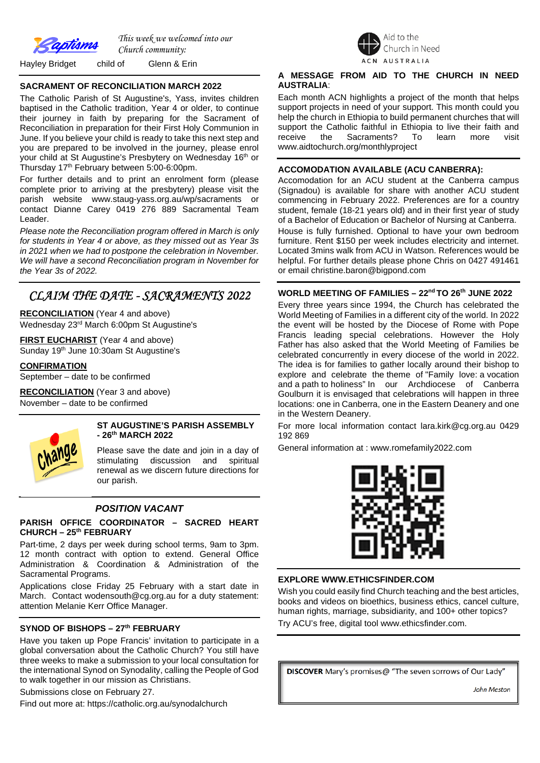

*This week we welcomed into our Church community:*

Hayley Bridget child of Glenn & Erin

## **SACRAMENT OF RECONCILIATION MARCH 2022**

The Catholic Parish of St Augustine's, Yass, invites children baptised in the Catholic tradition, Year 4 or older, to continue their journey in faith by preparing for the Sacrament of Reconciliation in preparation for their First Holy Communion in June. If you believe your child is ready to take this next step and you are prepared to be involved in the journey, please enrol your child at St Augustine's Presbytery on Wednesday 16th or Thursday 17<sup>th</sup> February between 5:00-6:00pm.

For further details and to print an enrolment form (please complete prior to arriving at the presbytery) please visit the parish website www.staug-yass.org.au/wp/sacraments or contact Dianne Carey 0419 276 889 Sacramental Team Leader.

*Please note the Reconciliation program offered in March is only for students in Year 4 or above, as they missed out as Year 3s in 2021 when we had to postpone the celebration in November. We will have a second Reconciliation program in November for the Year 3s of 2022.* 

## *CLAIM THE DATE - SACRAMENTS 2022*

**RECONCILIATION** (Year 4 and above) Wednesday 23rd March 6:00pm St Augustine's

**FIRST EUCHARIST** (Year 4 and above) Sunday 19<sup>th</sup> June 10:30am St Augustine's

**CONFIRMATION**

September – date to be confirmed

**RECONCILIATION** (Year 3 and above) November – date to be confirmed



## **ST AUGUSTINE'S PARISH ASSEMBLY - 26th MARCH 2022**

Please save the date and join in a day of stimulating discussion and spiritual renewal as we discern future directions for our parish.

## *POSITION VACANT*

## **PARISH OFFICE COORDINATOR – SACRED HEART CHURCH – 25th FEBRUARY**

Part-time, 2 days per week during school terms, 9am to 3pm. 12 month contract with option to extend. General Office Administration & Coordination & Administration of the Sacramental Programs.

Applications close Friday 25 February with a start date in March. Contact wodensouth@cg.org.au for a duty statement: attention Melanie Kerr Office Manager.

## **SYNOD OF BISHOPS – 27th FEBRUARY**

Have you taken up Pope Francis' invitation to participate in a global conversation about the Catholic Church? You still have three weeks to make a submission to your local consultation for the international Synod on Synodality, calling the People of God to walk together in our mission as Christians.

Submissions close on February 27.

Find out more at: https://catholic.org.au/synodalchurch



## **A MESSAGE FROM AID TO THE CHURCH IN NEED AUSTRALIA**:

Each month ACN highlights a project of the month that helps support projects in need of your support. This month could you help the church in Ethiopia to build permanent churches that will support the Catholic faithful in Ethiopia to live their faith and receive the Sacraments? To learn more visit www.aidtochurch.org/monthlyproject

## **ACCOMODATION AVAILABLE (ACU CANBERRA):**

Accomodation for an ACU student at the Canberra campus (Signadou) is available for share with another ACU student commencing in February 2022. Preferences are for a country student, female (18-21 years old) and in their first year of study of a Bachelor of Education or Bachelor of Nursing at Canberra. House is fully furnished. Optional to have your own bedroom furniture. Rent \$150 per week includes electricity and internet. Located 3mins walk from ACU in Watson. References would be helpful. For further details please phone Chris on 0427 491461 or email christine.baron@bigpond.com

## **WORLD MEETING OF FAMILIES – 22nd TO 26th JUNE 2022**

Every three years since 1994, the Church has celebrated the World Meeting of Families in a different city of the world. In 2022 the event will be hosted by the Diocese of Rome with Pope Francis leading special celebrations. However the Holy Father has also asked that the World Meeting of Families be celebrated concurrently in every diocese of the world in 2022. The idea is for families to gather locally around their bishop to explore and celebrate the theme of "Family love: a vocation and a path to holiness" In our Archdiocese of Canberra Goulburn it is envisaged that celebrations will happen in three locations: one in Canberra, one in the Eastern Deanery and one in the Western Deanery.

For more local information contact lara.kirk@cg.org.au 0429 192 869

General information at : www.romefamily2022.com



## **EXPLORE WWW.ETHICSFINDER.COM**

Wish you could easily find Church teaching and the best articles, books and videos on bioethics, business ethics, cancel culture, human rights, marriage, subsidiarity, and 100+ other topics? Try ACU's free, digital tool www.ethicsfinder.com.

DISCOVER Mary's promises@ "The seven sorrows of Our Lady"

**John Meston**